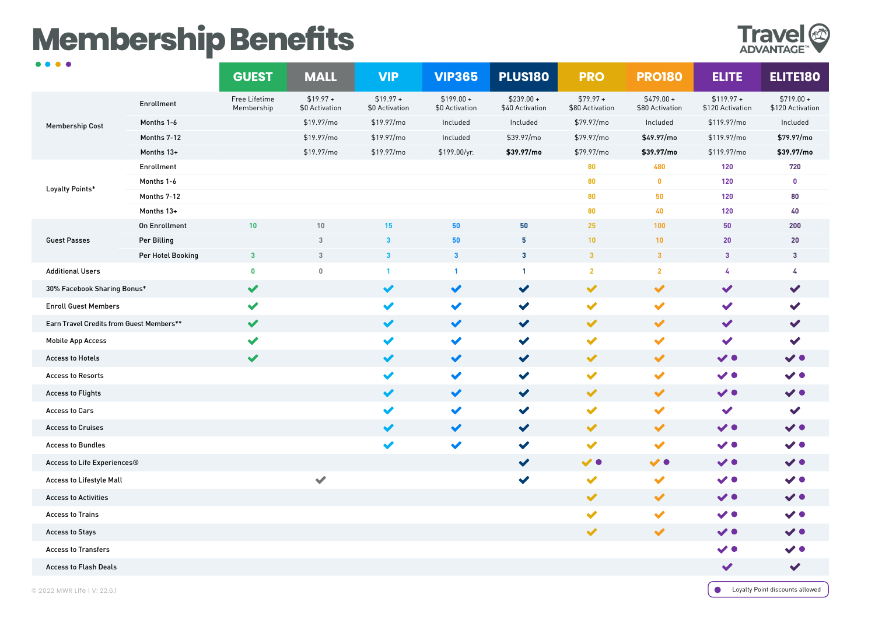# **Membership Benefits**



| $\bullet\bullet\bullet\bullet$           |                      | <b>GUEST</b>                | <b>MALL</b>                  | <b>VIP</b>                   | <b>VIP365</b>                 | <b>PLUS180</b>                 | <b>PRO</b>                    | <b>PRO180</b>                  | <b>ELITE</b>                    | <b>ELITE180</b>                 |
|------------------------------------------|----------------------|-----------------------------|------------------------------|------------------------------|-------------------------------|--------------------------------|-------------------------------|--------------------------------|---------------------------------|---------------------------------|
| <b>Membership Cost</b>                   | Enrollment           | Free Lifetime<br>Membership | $$19.97 +$<br>\$0 Activation | $$19.97 +$<br>\$0 Activation | $$199.00 +$<br>\$0 Activation | $$239.00 +$<br>\$40 Activation | $$79.97 +$<br>\$80 Activation | $$479.00 +$<br>\$80 Activation | $$119.97 +$<br>\$120 Activation | $$719.00 +$<br>\$120 Activation |
|                                          | Months 1-6           |                             | \$19.97/mo                   | \$19.97/mo                   | Included                      | Included                       | \$79.97/mo                    | Included                       | \$119.97/mo                     | Included                        |
|                                          | Months 7-12          |                             | \$19.97/mo                   | \$19.97/mo                   | Included                      | \$39.97/mo                     | \$79.97/mo                    | \$49.97/mo                     | \$119.97/mo                     | \$79.97/mo                      |
|                                          | Months 13+           |                             | \$19.97/mo                   | \$19.97/mo                   | \$199.00/yr.                  | \$39.97/mo                     | \$79.97/mo                    | \$39.97/mo                     | \$119.97/mo                     | \$39.97/mo                      |
| Loyalty Points*                          | Enrollment           |                             |                              |                              |                               |                                | 80                            | 480                            | 120                             | 720                             |
|                                          | Months 1-6           |                             |                              |                              |                               |                                | 80                            | $\mathbf{0}$                   | 120                             | 0                               |
|                                          | Months 7-12          |                             |                              |                              |                               |                                | 80                            | 50                             | 120                             | 80                              |
|                                          | Months 13+           |                             |                              |                              |                               |                                | 80                            | 40                             | 120                             | 40                              |
| <b>Guest Passes</b>                      | <b>On Enrollment</b> | 10                          | 10                           | 15                           | 50                            | 50                             | 25                            | 100                            | 50                              | 200                             |
|                                          | Per Billing          |                             | 3                            | $\overline{\mathbf{3}}$      | 50                            | 5                              | 10                            | 10                             | 20                              | 20                              |
|                                          | Per Hotel Booking    | $\mathbf{3}$                | 3                            | $\mathbf{3}$                 | $\overline{\mathbf{3}}$       | $\mathbf{3}$                   | $\mathbf{3}$                  | $\mathbf{3}$                   | $\mathbf{3}$                    | $\mathbf{3}$                    |
| <b>Additional Users</b>                  |                      | $\mathbf 0$                 | $\mathbb O$                  | $\mathbf{1}$                 | $\mathbf{1}$                  | $\mathbf{1}$                   | $\overline{2}$                | $\overline{2}$                 | 4                               | 4                               |
| 30% Facebook Sharing Bonus*              |                      | $\blacktriangledown$        |                              | $\blacktriangledown$         | $\blacktriangledown$          | $\blacktriangledown$           | $\blacktriangledown$          | $\blacktriangledown$           | $\blacktriangledown$            | $\blacktriangledown$            |
| <b>Enroll Guest Members</b>              |                      | $\blacktriangledown$        |                              | $\blacktriangledown$         | $\blacktriangledown$          | $\checkmark$                   | $\blacktriangledown$          | $\blacktriangledown$           | $\blacktriangledown$            | $\checkmark$                    |
| Earn Travel Credits from Guest Members** |                      | $\blacktriangledown$        |                              | $\blacktriangledown$         | $\blacktriangledown$          | $\checkmark$                   | $\blacktriangledown$          | $\blacktriangledown$           | $\blacktriangledown$            | $\blacktriangledown$            |
| <b>Mobile App Access</b>                 |                      | $\blacktriangledown$        |                              | $\blacktriangledown$         | $\blacktriangledown$          | $\blacktriangledown$           | $\blacktriangledown$          | $\blacktriangledown$           | $\blacktriangledown$            | $\blacktriangledown$            |
| <b>Access to Hotels</b>                  |                      | $\blacktriangledown$        |                              | $\blacktriangledown$         | $\blacktriangledown$          | $\blacktriangledown$           | $\blacktriangledown$          | $\blacktriangledown$           | $\checkmark$                    | $\checkmark$                    |
| <b>Access to Resorts</b>                 |                      |                             |                              | $\blacktriangledown$         | $\blacktriangledown$          | $\blacktriangledown$           | $\blacktriangledown$          | $\blacktriangledown$           | $\checkmark$                    | $\checkmark$                    |
| <b>Access to Flights</b>                 |                      |                             |                              | $\blacktriangledown$         | $\blacktriangledown$          | $\blacktriangledown$           | $\blacktriangledown$          | $\blacktriangledown$           | $\checkmark$                    | $\checkmark$                    |
| <b>Access to Cars</b>                    |                      |                             |                              | $\blacktriangledown$         | $\blacktriangledown$          | $\blacktriangledown$           | $\blacktriangledown$          | $\blacktriangledown$           | $\blacktriangledown$            | $\blacktriangledown$            |
| <b>Access to Cruises</b>                 |                      |                             |                              | $\blacktriangledown$         | $\blacktriangledown$          | $\blacktriangledown$           | $\blacktriangledown$          | $\blacktriangledown$           | $\checkmark$                    | $\checkmark$                    |
| <b>Access to Bundles</b>                 |                      |                             |                              | $\blacktriangledown$         | $\blacktriangledown$          | $\blacktriangledown$           | $\blacktriangledown$          | $\blacktriangledown$           | $\checkmark$                    | $\checkmark$                    |
| Access to Life Experiences®              |                      |                             |                              |                              |                               | $\blacktriangledown$           | $\checkmark$                  | $\checkmark$                   | $\checkmark$                    | $\checkmark$                    |
| Access to Lifestyle Mall                 |                      |                             | $\blacktriangledown$         |                              |                               | $\blacktriangledown$           | $\blacktriangledown$          | $\blacktriangledown$           | $\checkmark$ .                  | $\checkmark$                    |
| <b>Access to Activities</b>              |                      |                             |                              |                              |                               |                                | $\blacktriangledown$          | $\blacktriangledown$           | $\checkmark$                    | $\checkmark$                    |
| <b>Access to Trains</b>                  |                      |                             |                              |                              |                               |                                | $\blacktriangledown$          | $\blacktriangledown$           | $\checkmark$                    | $\checkmark$                    |
| <b>Access to Stays</b>                   |                      |                             |                              |                              |                               |                                | $\blacktriangledown$          | $\blacktriangledown$           | $\checkmark$                    | $\checkmark$                    |
| <b>Access to Transfers</b>               |                      |                             |                              |                              |                               |                                |                               |                                | $\checkmark$                    | $\checkmark$ o                  |
| <b>Access to Flash Deals</b>             |                      |                             |                              |                              |                               |                                |                               |                                | $\blacktriangledown$            | $\checkmark$                    |

**Conservator** Loyalty Point discounts allowed